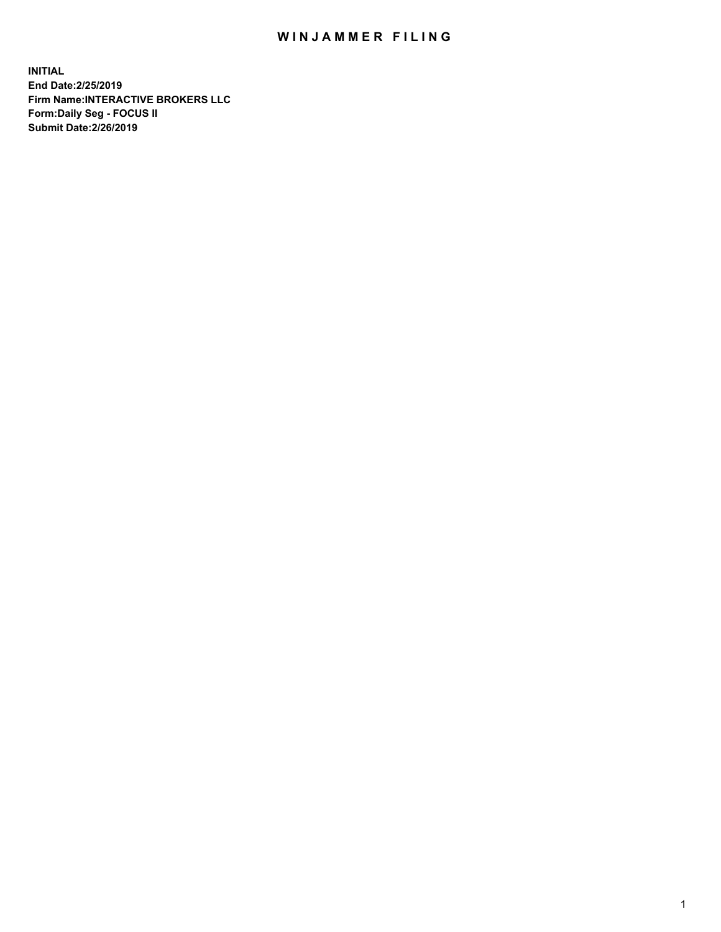## WIN JAMMER FILING

**INITIAL End Date:2/25/2019 Firm Name:INTERACTIVE BROKERS LLC Form:Daily Seg - FOCUS II Submit Date:2/26/2019**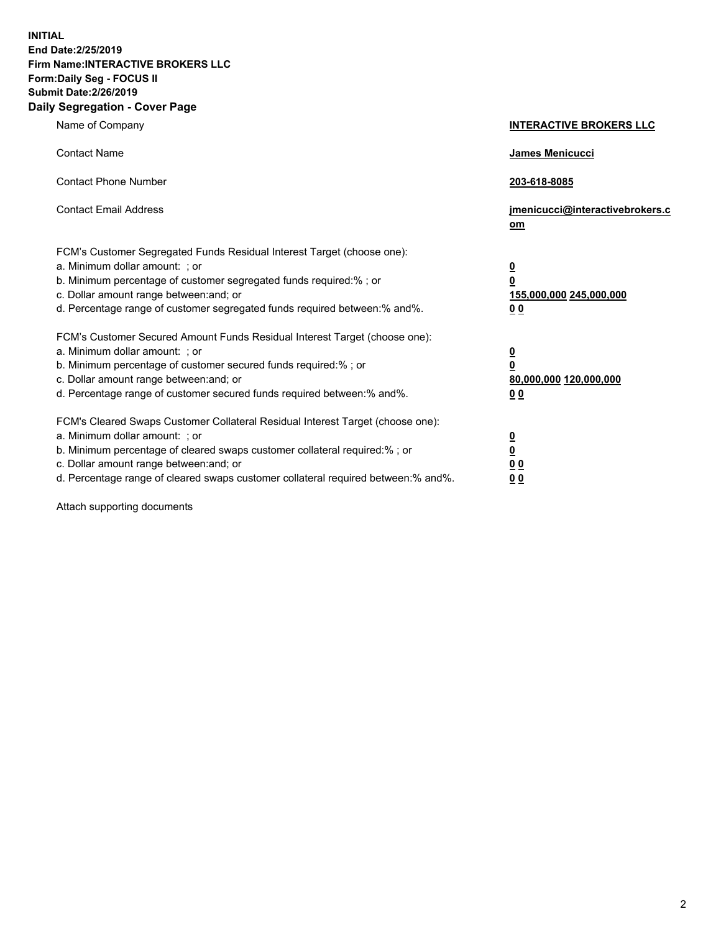**INITIAL End Date:2/25/2019 Firm Name:INTERACTIVE BROKERS LLC Form:Daily Seg - FOCUS II Submit Date:2/26/2019 Daily Segregation - Cover Page**

| Name of Company                                                                                                                                                                                                                                                                                                                | <b>INTERACTIVE BROKERS LLC</b>                                                                  |
|--------------------------------------------------------------------------------------------------------------------------------------------------------------------------------------------------------------------------------------------------------------------------------------------------------------------------------|-------------------------------------------------------------------------------------------------|
| <b>Contact Name</b>                                                                                                                                                                                                                                                                                                            | James Menicucci                                                                                 |
| <b>Contact Phone Number</b>                                                                                                                                                                                                                                                                                                    | 203-618-8085                                                                                    |
| <b>Contact Email Address</b>                                                                                                                                                                                                                                                                                                   | jmenicucci@interactivebrokers.c<br>om                                                           |
| FCM's Customer Segregated Funds Residual Interest Target (choose one):<br>a. Minimum dollar amount: ; or<br>b. Minimum percentage of customer segregated funds required:% ; or<br>c. Dollar amount range between: and; or<br>d. Percentage range of customer segregated funds required between:% and%.                         | $\overline{\mathbf{0}}$<br>$\overline{\mathbf{0}}$<br>155,000,000 245,000,000<br>0 <sub>0</sub> |
| FCM's Customer Secured Amount Funds Residual Interest Target (choose one):<br>a. Minimum dollar amount: ; or<br>b. Minimum percentage of customer secured funds required:% ; or<br>c. Dollar amount range between: and; or<br>d. Percentage range of customer secured funds required between:% and%.                           | $\overline{\mathbf{0}}$<br>0<br>80,000,000 120,000,000<br>0 <sub>0</sub>                        |
| FCM's Cleared Swaps Customer Collateral Residual Interest Target (choose one):<br>a. Minimum dollar amount: ; or<br>b. Minimum percentage of cleared swaps customer collateral required:% ; or<br>c. Dollar amount range between: and; or<br>d. Percentage range of cleared swaps customer collateral required between:% and%. | $\overline{\mathbf{0}}$<br><u>0</u><br>$\underline{0}$ $\underline{0}$<br>00                    |

Attach supporting documents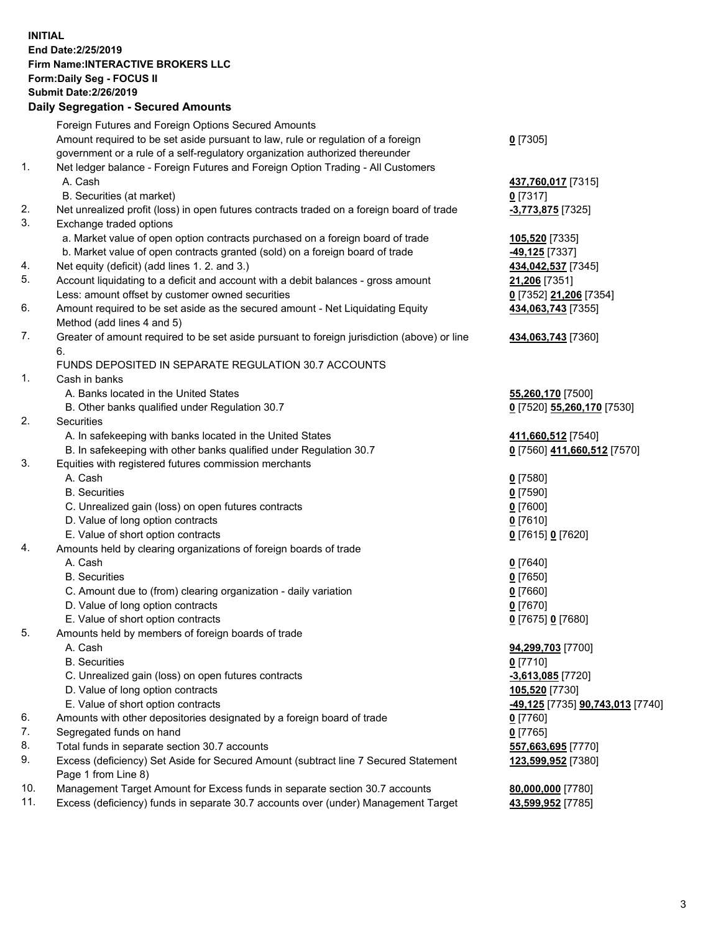## **INITIAL End Date:2/25/2019 Firm Name:INTERACTIVE BROKERS LLC Form:Daily Seg - FOCUS II Submit Date:2/26/2019 Daily Segregation - Secured Amounts**

| Daily Ocglegation - Occured Anioants                                                        |                                                                                                                                                                                                                                                                                                                                                                                                                                                                                                                                                                                                                                                                                                                                                                                                                                                                                                                                                                                                                                                                                                                                                                                                                                                                                                                                                                                                                                                                                                                                                                                                 |
|---------------------------------------------------------------------------------------------|-------------------------------------------------------------------------------------------------------------------------------------------------------------------------------------------------------------------------------------------------------------------------------------------------------------------------------------------------------------------------------------------------------------------------------------------------------------------------------------------------------------------------------------------------------------------------------------------------------------------------------------------------------------------------------------------------------------------------------------------------------------------------------------------------------------------------------------------------------------------------------------------------------------------------------------------------------------------------------------------------------------------------------------------------------------------------------------------------------------------------------------------------------------------------------------------------------------------------------------------------------------------------------------------------------------------------------------------------------------------------------------------------------------------------------------------------------------------------------------------------------------------------------------------------------------------------------------------------|
| Foreign Futures and Foreign Options Secured Amounts                                         |                                                                                                                                                                                                                                                                                                                                                                                                                                                                                                                                                                                                                                                                                                                                                                                                                                                                                                                                                                                                                                                                                                                                                                                                                                                                                                                                                                                                                                                                                                                                                                                                 |
| Amount required to be set aside pursuant to law, rule or regulation of a foreign            | $0$ [7305]                                                                                                                                                                                                                                                                                                                                                                                                                                                                                                                                                                                                                                                                                                                                                                                                                                                                                                                                                                                                                                                                                                                                                                                                                                                                                                                                                                                                                                                                                                                                                                                      |
| government or a rule of a self-regulatory organization authorized thereunder                |                                                                                                                                                                                                                                                                                                                                                                                                                                                                                                                                                                                                                                                                                                                                                                                                                                                                                                                                                                                                                                                                                                                                                                                                                                                                                                                                                                                                                                                                                                                                                                                                 |
| Net ledger balance - Foreign Futures and Foreign Option Trading - All Customers             |                                                                                                                                                                                                                                                                                                                                                                                                                                                                                                                                                                                                                                                                                                                                                                                                                                                                                                                                                                                                                                                                                                                                                                                                                                                                                                                                                                                                                                                                                                                                                                                                 |
| A. Cash                                                                                     | 437,760,017 [7315]                                                                                                                                                                                                                                                                                                                                                                                                                                                                                                                                                                                                                                                                                                                                                                                                                                                                                                                                                                                                                                                                                                                                                                                                                                                                                                                                                                                                                                                                                                                                                                              |
| B. Securities (at market)                                                                   | $0$ [7317]                                                                                                                                                                                                                                                                                                                                                                                                                                                                                                                                                                                                                                                                                                                                                                                                                                                                                                                                                                                                                                                                                                                                                                                                                                                                                                                                                                                                                                                                                                                                                                                      |
| Net unrealized profit (loss) in open futures contracts traded on a foreign board of trade   | -3,773,875 [7325]                                                                                                                                                                                                                                                                                                                                                                                                                                                                                                                                                                                                                                                                                                                                                                                                                                                                                                                                                                                                                                                                                                                                                                                                                                                                                                                                                                                                                                                                                                                                                                               |
| Exchange traded options                                                                     |                                                                                                                                                                                                                                                                                                                                                                                                                                                                                                                                                                                                                                                                                                                                                                                                                                                                                                                                                                                                                                                                                                                                                                                                                                                                                                                                                                                                                                                                                                                                                                                                 |
| a. Market value of open option contracts purchased on a foreign board of trade              | 105,520 [7335]                                                                                                                                                                                                                                                                                                                                                                                                                                                                                                                                                                                                                                                                                                                                                                                                                                                                                                                                                                                                                                                                                                                                                                                                                                                                                                                                                                                                                                                                                                                                                                                  |
| b. Market value of open contracts granted (sold) on a foreign board of trade                | -49,125 [7337]                                                                                                                                                                                                                                                                                                                                                                                                                                                                                                                                                                                                                                                                                                                                                                                                                                                                                                                                                                                                                                                                                                                                                                                                                                                                                                                                                                                                                                                                                                                                                                                  |
|                                                                                             | 434,042,537 [7345]                                                                                                                                                                                                                                                                                                                                                                                                                                                                                                                                                                                                                                                                                                                                                                                                                                                                                                                                                                                                                                                                                                                                                                                                                                                                                                                                                                                                                                                                                                                                                                              |
|                                                                                             | 21,206 [7351]                                                                                                                                                                                                                                                                                                                                                                                                                                                                                                                                                                                                                                                                                                                                                                                                                                                                                                                                                                                                                                                                                                                                                                                                                                                                                                                                                                                                                                                                                                                                                                                   |
| Less: amount offset by customer owned securities                                            | 0 [7352] 21,206 [7354]                                                                                                                                                                                                                                                                                                                                                                                                                                                                                                                                                                                                                                                                                                                                                                                                                                                                                                                                                                                                                                                                                                                                                                                                                                                                                                                                                                                                                                                                                                                                                                          |
|                                                                                             | 434,063,743 [7355]                                                                                                                                                                                                                                                                                                                                                                                                                                                                                                                                                                                                                                                                                                                                                                                                                                                                                                                                                                                                                                                                                                                                                                                                                                                                                                                                                                                                                                                                                                                                                                              |
|                                                                                             |                                                                                                                                                                                                                                                                                                                                                                                                                                                                                                                                                                                                                                                                                                                                                                                                                                                                                                                                                                                                                                                                                                                                                                                                                                                                                                                                                                                                                                                                                                                                                                                                 |
| Greater of amount required to be set aside pursuant to foreign jurisdiction (above) or line | 434,063,743 [7360]                                                                                                                                                                                                                                                                                                                                                                                                                                                                                                                                                                                                                                                                                                                                                                                                                                                                                                                                                                                                                                                                                                                                                                                                                                                                                                                                                                                                                                                                                                                                                                              |
| 6.                                                                                          |                                                                                                                                                                                                                                                                                                                                                                                                                                                                                                                                                                                                                                                                                                                                                                                                                                                                                                                                                                                                                                                                                                                                                                                                                                                                                                                                                                                                                                                                                                                                                                                                 |
| FUNDS DEPOSITED IN SEPARATE REGULATION 30.7 ACCOUNTS                                        |                                                                                                                                                                                                                                                                                                                                                                                                                                                                                                                                                                                                                                                                                                                                                                                                                                                                                                                                                                                                                                                                                                                                                                                                                                                                                                                                                                                                                                                                                                                                                                                                 |
| Cash in banks                                                                               |                                                                                                                                                                                                                                                                                                                                                                                                                                                                                                                                                                                                                                                                                                                                                                                                                                                                                                                                                                                                                                                                                                                                                                                                                                                                                                                                                                                                                                                                                                                                                                                                 |
| A. Banks located in the United States                                                       | 55,260,170 [7500]                                                                                                                                                                                                                                                                                                                                                                                                                                                                                                                                                                                                                                                                                                                                                                                                                                                                                                                                                                                                                                                                                                                                                                                                                                                                                                                                                                                                                                                                                                                                                                               |
|                                                                                             | 0 [7520] 55,260,170 [7530]                                                                                                                                                                                                                                                                                                                                                                                                                                                                                                                                                                                                                                                                                                                                                                                                                                                                                                                                                                                                                                                                                                                                                                                                                                                                                                                                                                                                                                                                                                                                                                      |
| Securities                                                                                  |                                                                                                                                                                                                                                                                                                                                                                                                                                                                                                                                                                                                                                                                                                                                                                                                                                                                                                                                                                                                                                                                                                                                                                                                                                                                                                                                                                                                                                                                                                                                                                                                 |
|                                                                                             | 411,660,512 [7540]                                                                                                                                                                                                                                                                                                                                                                                                                                                                                                                                                                                                                                                                                                                                                                                                                                                                                                                                                                                                                                                                                                                                                                                                                                                                                                                                                                                                                                                                                                                                                                              |
|                                                                                             | 0 [7560] 411,660,512 [7570]                                                                                                                                                                                                                                                                                                                                                                                                                                                                                                                                                                                                                                                                                                                                                                                                                                                                                                                                                                                                                                                                                                                                                                                                                                                                                                                                                                                                                                                                                                                                                                     |
|                                                                                             |                                                                                                                                                                                                                                                                                                                                                                                                                                                                                                                                                                                                                                                                                                                                                                                                                                                                                                                                                                                                                                                                                                                                                                                                                                                                                                                                                                                                                                                                                                                                                                                                 |
|                                                                                             | $0$ [7580]                                                                                                                                                                                                                                                                                                                                                                                                                                                                                                                                                                                                                                                                                                                                                                                                                                                                                                                                                                                                                                                                                                                                                                                                                                                                                                                                                                                                                                                                                                                                                                                      |
|                                                                                             | $0$ [7590]                                                                                                                                                                                                                                                                                                                                                                                                                                                                                                                                                                                                                                                                                                                                                                                                                                                                                                                                                                                                                                                                                                                                                                                                                                                                                                                                                                                                                                                                                                                                                                                      |
|                                                                                             | $0$ [7600]                                                                                                                                                                                                                                                                                                                                                                                                                                                                                                                                                                                                                                                                                                                                                                                                                                                                                                                                                                                                                                                                                                                                                                                                                                                                                                                                                                                                                                                                                                                                                                                      |
|                                                                                             | $0$ [7610]                                                                                                                                                                                                                                                                                                                                                                                                                                                                                                                                                                                                                                                                                                                                                                                                                                                                                                                                                                                                                                                                                                                                                                                                                                                                                                                                                                                                                                                                                                                                                                                      |
|                                                                                             | 0 [7615] 0 [7620]                                                                                                                                                                                                                                                                                                                                                                                                                                                                                                                                                                                                                                                                                                                                                                                                                                                                                                                                                                                                                                                                                                                                                                                                                                                                                                                                                                                                                                                                                                                                                                               |
|                                                                                             |                                                                                                                                                                                                                                                                                                                                                                                                                                                                                                                                                                                                                                                                                                                                                                                                                                                                                                                                                                                                                                                                                                                                                                                                                                                                                                                                                                                                                                                                                                                                                                                                 |
|                                                                                             | $0$ [7640]                                                                                                                                                                                                                                                                                                                                                                                                                                                                                                                                                                                                                                                                                                                                                                                                                                                                                                                                                                                                                                                                                                                                                                                                                                                                                                                                                                                                                                                                                                                                                                                      |
|                                                                                             | $0$ [7650]                                                                                                                                                                                                                                                                                                                                                                                                                                                                                                                                                                                                                                                                                                                                                                                                                                                                                                                                                                                                                                                                                                                                                                                                                                                                                                                                                                                                                                                                                                                                                                                      |
|                                                                                             | $0$ [7660]                                                                                                                                                                                                                                                                                                                                                                                                                                                                                                                                                                                                                                                                                                                                                                                                                                                                                                                                                                                                                                                                                                                                                                                                                                                                                                                                                                                                                                                                                                                                                                                      |
|                                                                                             | $0$ [7670]                                                                                                                                                                                                                                                                                                                                                                                                                                                                                                                                                                                                                                                                                                                                                                                                                                                                                                                                                                                                                                                                                                                                                                                                                                                                                                                                                                                                                                                                                                                                                                                      |
|                                                                                             | 0 [7675] 0 [7680]                                                                                                                                                                                                                                                                                                                                                                                                                                                                                                                                                                                                                                                                                                                                                                                                                                                                                                                                                                                                                                                                                                                                                                                                                                                                                                                                                                                                                                                                                                                                                                               |
|                                                                                             |                                                                                                                                                                                                                                                                                                                                                                                                                                                                                                                                                                                                                                                                                                                                                                                                                                                                                                                                                                                                                                                                                                                                                                                                                                                                                                                                                                                                                                                                                                                                                                                                 |
|                                                                                             | 94,299,703 [7700]                                                                                                                                                                                                                                                                                                                                                                                                                                                                                                                                                                                                                                                                                                                                                                                                                                                                                                                                                                                                                                                                                                                                                                                                                                                                                                                                                                                                                                                                                                                                                                               |
|                                                                                             | $0$ [7710]                                                                                                                                                                                                                                                                                                                                                                                                                                                                                                                                                                                                                                                                                                                                                                                                                                                                                                                                                                                                                                                                                                                                                                                                                                                                                                                                                                                                                                                                                                                                                                                      |
|                                                                                             | $-3,613,085$ [7720]                                                                                                                                                                                                                                                                                                                                                                                                                                                                                                                                                                                                                                                                                                                                                                                                                                                                                                                                                                                                                                                                                                                                                                                                                                                                                                                                                                                                                                                                                                                                                                             |
|                                                                                             | 105,520 [7730]                                                                                                                                                                                                                                                                                                                                                                                                                                                                                                                                                                                                                                                                                                                                                                                                                                                                                                                                                                                                                                                                                                                                                                                                                                                                                                                                                                                                                                                                                                                                                                                  |
|                                                                                             | <mark>-49,125</mark> [7735] <b>90,743,013</b> [7740]                                                                                                                                                                                                                                                                                                                                                                                                                                                                                                                                                                                                                                                                                                                                                                                                                                                                                                                                                                                                                                                                                                                                                                                                                                                                                                                                                                                                                                                                                                                                            |
|                                                                                             | 0 [7760]                                                                                                                                                                                                                                                                                                                                                                                                                                                                                                                                                                                                                                                                                                                                                                                                                                                                                                                                                                                                                                                                                                                                                                                                                                                                                                                                                                                                                                                                                                                                                                                        |
|                                                                                             | $0$ [7765]                                                                                                                                                                                                                                                                                                                                                                                                                                                                                                                                                                                                                                                                                                                                                                                                                                                                                                                                                                                                                                                                                                                                                                                                                                                                                                                                                                                                                                                                                                                                                                                      |
|                                                                                             | 557,663,695 [7770]                                                                                                                                                                                                                                                                                                                                                                                                                                                                                                                                                                                                                                                                                                                                                                                                                                                                                                                                                                                                                                                                                                                                                                                                                                                                                                                                                                                                                                                                                                                                                                              |
|                                                                                             | 123,599,952 [7380]                                                                                                                                                                                                                                                                                                                                                                                                                                                                                                                                                                                                                                                                                                                                                                                                                                                                                                                                                                                                                                                                                                                                                                                                                                                                                                                                                                                                                                                                                                                                                                              |
|                                                                                             |                                                                                                                                                                                                                                                                                                                                                                                                                                                                                                                                                                                                                                                                                                                                                                                                                                                                                                                                                                                                                                                                                                                                                                                                                                                                                                                                                                                                                                                                                                                                                                                                 |
|                                                                                             | 80,000,000 [7780]                                                                                                                                                                                                                                                                                                                                                                                                                                                                                                                                                                                                                                                                                                                                                                                                                                                                                                                                                                                                                                                                                                                                                                                                                                                                                                                                                                                                                                                                                                                                                                               |
|                                                                                             | 43,599,952 [7785]                                                                                                                                                                                                                                                                                                                                                                                                                                                                                                                                                                                                                                                                                                                                                                                                                                                                                                                                                                                                                                                                                                                                                                                                                                                                                                                                                                                                                                                                                                                                                                               |
|                                                                                             | Net equity (deficit) (add lines 1.2. and 3.)<br>Account liquidating to a deficit and account with a debit balances - gross amount<br>Amount required to be set aside as the secured amount - Net Liquidating Equity<br>Method (add lines 4 and 5)<br>B. Other banks qualified under Regulation 30.7<br>A. In safekeeping with banks located in the United States<br>B. In safekeeping with other banks qualified under Regulation 30.7<br>Equities with registered futures commission merchants<br>A. Cash<br><b>B.</b> Securities<br>C. Unrealized gain (loss) on open futures contracts<br>D. Value of long option contracts<br>E. Value of short option contracts<br>Amounts held by clearing organizations of foreign boards of trade<br>A. Cash<br><b>B.</b> Securities<br>C. Amount due to (from) clearing organization - daily variation<br>D. Value of long option contracts<br>E. Value of short option contracts<br>Amounts held by members of foreign boards of trade<br>A. Cash<br><b>B.</b> Securities<br>C. Unrealized gain (loss) on open futures contracts<br>D. Value of long option contracts<br>E. Value of short option contracts<br>Amounts with other depositories designated by a foreign board of trade<br>Segregated funds on hand<br>Total funds in separate section 30.7 accounts<br>Excess (deficiency) Set Aside for Secured Amount (subtract line 7 Secured Statement<br>Page 1 from Line 8)<br>Management Target Amount for Excess funds in separate section 30.7 accounts<br>Excess (deficiency) funds in separate 30.7 accounts over (under) Management Target |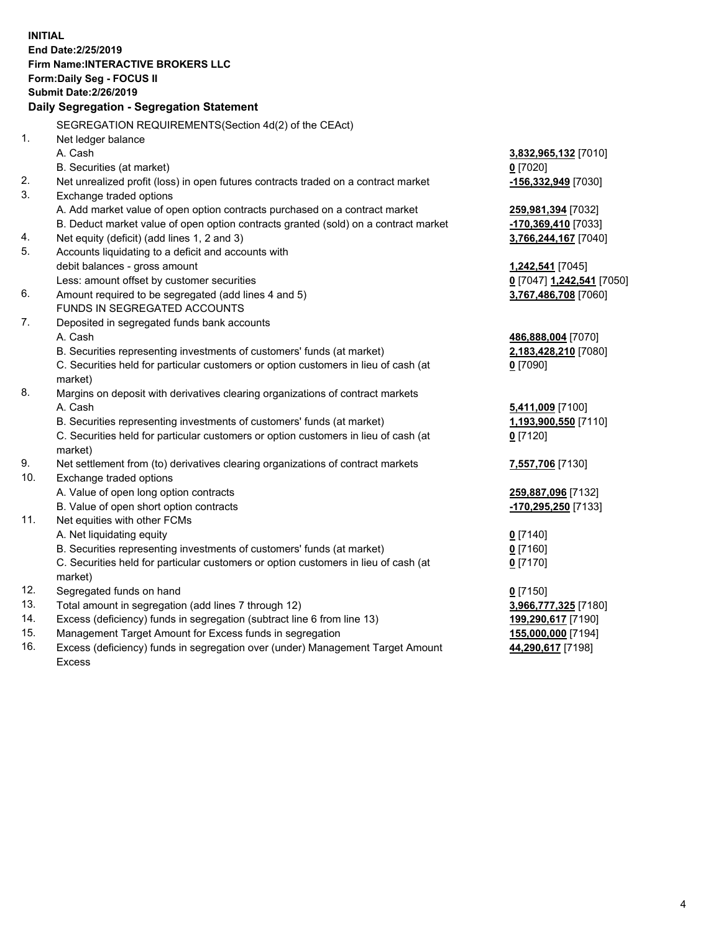**INITIAL End Date:2/25/2019 Firm Name:INTERACTIVE BROKERS LLC Form:Daily Seg - FOCUS II Submit Date:2/26/2019 Daily Segregation - Segregation Statement** SEGREGATION REQUIREMENTS(Section 4d(2) of the CEAct) 1. Net ledger balance A. Cash **3,832,965,132** [7010] B. Securities (at market) **0** [7020] 2. Net unrealized profit (loss) in open futures contracts traded on a contract market **-156,332,949** [7030] 3. Exchange traded options A. Add market value of open option contracts purchased on a contract market **259,981,394** [7032] B. Deduct market value of open option contracts granted (sold) on a contract market **-170,369,410** [7033] 4. Net equity (deficit) (add lines 1, 2 and 3) **3,766,244,167** [7040] 5. Accounts liquidating to a deficit and accounts with debit balances - gross amount **1,242,541** [7045] Less: amount offset by customer securities **0** [7047] **1,242,541** [7050] 6. Amount required to be segregated (add lines 4 and 5) **3,767,486,708** [7060] FUNDS IN SEGREGATED ACCOUNTS 7. Deposited in segregated funds bank accounts A. Cash **486,888,004** [7070] B. Securities representing investments of customers' funds (at market) **2,183,428,210** [7080] C. Securities held for particular customers or option customers in lieu of cash (at market) **0** [7090] 8. Margins on deposit with derivatives clearing organizations of contract markets A. Cash **5,411,009** [7100] B. Securities representing investments of customers' funds (at market) **1,193,900,550** [7110] C. Securities held for particular customers or option customers in lieu of cash (at market) **0** [7120] 9. Net settlement from (to) derivatives clearing organizations of contract markets **7,557,706** [7130] 10. Exchange traded options A. Value of open long option contracts **259,887,096** [7132] B. Value of open short option contracts **-170,295,250** [7133] 11. Net equities with other FCMs A. Net liquidating equity **0** [7140] B. Securities representing investments of customers' funds (at market) **0** [7160] C. Securities held for particular customers or option customers in lieu of cash (at market) **0** [7170] 12. Segregated funds on hand **0** [7150] 13. Total amount in segregation (add lines 7 through 12) **3,966,777,325** [7180] 14. Excess (deficiency) funds in segregation (subtract line 6 from line 13) **199,290,617** [7190] 15. Management Target Amount for Excess funds in segregation **155,000,000** [7194]

16. Excess (deficiency) funds in segregation over (under) Management Target Amount Excess

**44,290,617** [7198]